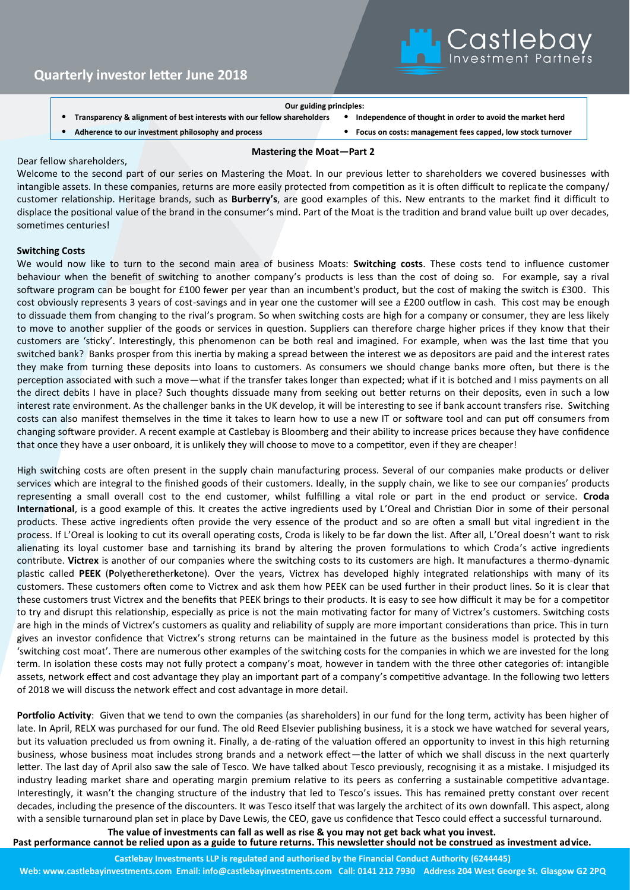

- **Our guiding principles:**
- **Transparency & alignment of best interests with our fellow shareholders** • **Independence of thought in order to avoid the market herd**
- **Adherence to our investment philosophy and process** • **Focus on costs: management fees capped, low stock turnover**
- -

## Dear fellow shareholders,

Welcome to the second part of our series on Mastering the Moat. In our previous letter to shareholders we covered businesses with intangible assets. In these companies, returns are more easily protected from competition as it is often difficult to replicate the company/ customer relationship. Heritage brands, such as **Burberry's**, are good examples of this. New entrants to the market find it difficult to displace the positional value of the brand in the consumer's mind. Part of the Moat is the tradition and brand value built up over decades, sometimes centuries!

**Mastering the Moat—Part 2**

## **Switching Costs**

We would now like to turn to the second main area of business Moats: **Switching costs**. These costs tend to influence customer behaviour when the benefit of switching to another company's products is less than the cost of doing so. For example, say a rival software program can be bought for £100 fewer per year than an incumbent's product, but the cost of making the switch is £300. This cost obviously represents 3 years of cost-savings and in year one the customer will see a £200 outflow in cash. This cost may be enough to dissuade them from changing to the rival's program. So when switching costs are high for a company or consumer, they are less likely to move to another supplier of the goods or services in question. Suppliers can therefore charge higher prices if they know that their customers are 'sticky'. Interestingly, this phenomenon can be both real and imagined. For example, when was the last time that you switched bank? Banks prosper from this inertia by making a spread between the interest we as depositors are paid and the interest rates they make from turning these deposits into loans to customers. As consumers we should change banks more often, but there is the perception associated with such a move—what if the transfer takes longer than expected; what if it is botched and I miss payments on all the direct debits I have in place? Such thoughts dissuade many from seeking out better returns on their deposits, even in such a low interest rate environment. As the challenger banks in the UK develop, it will be interesting to see if bank account transfers rise. Switching costs can also manifest themselves in the time it takes to learn how to use a new IT or software tool and can put off consumers from changing software provider. A recent example at Castlebay is Bloomberg and their ability to increase prices because they have confidence that once they have a user onboard, it is unlikely they will choose to move to a competitor, even if they are cheaper!

High switching costs are often present in the supply chain manufacturing process. Several of our companies make products or deliver services which are integral to the finished goods of their customers. Ideally, in the supply chain, we like to see our companies' products representing a small overall cost to the end customer, whilst fulfilling a vital role or part in the end product or service. **Croda International**, is a good example of this. It creates the active ingredients used by L'Oreal and Christian Dior in some of their personal products. These active ingredients often provide the very essence of the product and so are often a small but vital ingredient in the process. If L'Oreal is looking to cut its overall operating costs, Croda is likely to be far down the list. After all, L'Oreal doesn't want to risk alienating its loyal customer base and tarnishing its brand by altering the proven formulations to which Croda's active ingredients contribute. **Victrex** is another of our companies where the switching costs to its customers are high. It manufactures a thermo-dynamic plastic called **PEEK** (**P**oly**e**ther**e**ther**k**etone). Over the years, Victrex has developed highly integrated relationships with many of its customers. These customers often come to Victrex and ask them how PEEK can be used further in their product lines. So it is clear that these customers trust Victrex and the benefits that PEEK brings to their products. It is easy to see how difficult it may be for a competitor to try and disrupt this relationship, especially as price is not the main motivating factor for many of Victrex's customers. Switching costs are high in the minds of Victrex's customers as quality and reliability of supply are more important considerations than price. This in turn gives an investor confidence that Victrex's strong returns can be maintained in the future as the business model is protected by this 'switching cost moat'. There are numerous other examples of the switching costs for the companies in which we are invested for the long term. In isolation these costs may not fully protect a company's moat, however in tandem with the three other categories of: intangible assets, network effect and cost advantage they play an important part of a company's competitive advantage. In the following two letters of 2018 we will discuss the network effect and cost advantage in more detail.

**Portfolio Activity**: Given that we tend to own the companies (as shareholders) in our fund for the long term, activity has been higher of late. In April, RELX was purchased for our fund. The old Reed Elsevier publishing business, it is a stock we have watched for several years, but its valuation precluded us from owning it. Finally, a de-rating of the valuation offered an opportunity to invest in this high returning business, whose business moat includes strong brands and a network effect—the latter of which we shall discuss in the next quarterly letter. The last day of April also saw the sale of Tesco. We have talked about Tesco previously, recognising it as a mistake. I misjudged its industry leading market share and operating margin premium relative to its peers as conferring a sustainable competitive advantage. Interestingly, it wasn't the changing structure of the industry that led to Tesco's issues. This has remained pretty constant over recent decades, including the presence of the discounters. It was Tesco itself that was largely the architect of its own downfall. This aspect, along with a sensible turnaround plan set in place by Dave Lewis, the CEO, gave us confidence that Tesco could effect a successful turnaround.

**The value of investments can fall as well as rise & you may not get back what you invest.** 

**Past performance cannot be relied upon as a guide to future returns. This newsletter should not be construed as investment advice.**

**Castlebay Investments LLP is regulated and authorised by the Financial Conduct Authority (6244445)** 

**Web: www.castlebayinvestments.com Email: info@castlebayinvestments.com Call: 0141 212 7930 Address 204 West George St. Glasgow G2 2PQ**